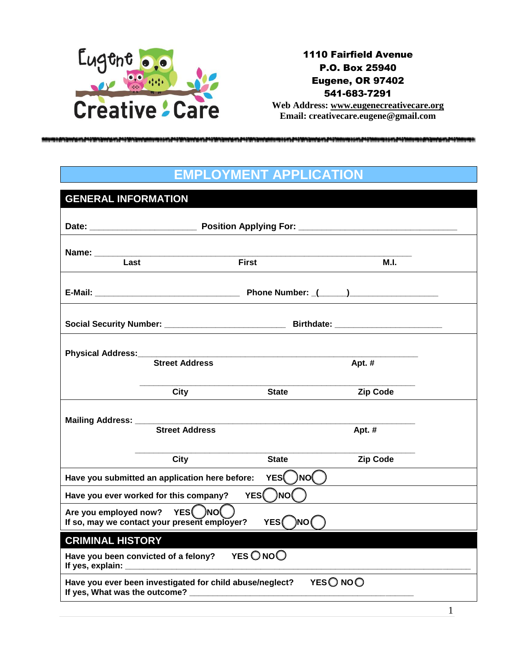

1110 Fairfield Avenue P.O. Box 25940 Eugene, OR 97402 541-683-7291

**Web Address: www.eugenecreativecare.org Email: creativecare.eugene@gmail.com**

#### **EMPLOYMENT APPLICATION**

| <b>GENERAL INFORMATION</b>                                           |                                                                   |               |                 |  |  |  |
|----------------------------------------------------------------------|-------------------------------------------------------------------|---------------|-----------------|--|--|--|
|                                                                      |                                                                   |               |                 |  |  |  |
|                                                                      |                                                                   |               |                 |  |  |  |
| Last                                                                 |                                                                   |               |                 |  |  |  |
|                                                                      |                                                                   | <b>First</b>  | M.I.            |  |  |  |
|                                                                      |                                                                   |               |                 |  |  |  |
|                                                                      |                                                                   |               |                 |  |  |  |
|                                                                      |                                                                   |               |                 |  |  |  |
|                                                                      | <b>Street Address</b>                                             |               | Apt. #          |  |  |  |
|                                                                      |                                                                   |               |                 |  |  |  |
|                                                                      | <b>City</b>                                                       | <b>State</b>  | <b>Zip Code</b> |  |  |  |
|                                                                      |                                                                   |               |                 |  |  |  |
| Mailing Address: ________________                                    | <b>Street Address</b>                                             |               | Apt. #          |  |  |  |
|                                                                      |                                                                   |               |                 |  |  |  |
|                                                                      | City                                                              | <b>State</b>  | <b>Zip Code</b> |  |  |  |
|                                                                      | YES()NO()<br>Have you submitted an application here before:       |               |                 |  |  |  |
|                                                                      | Have you ever worked for this company?                            | YES( )NO      |                 |  |  |  |
| Are you employed now?                                                | YES()NO<br>If so, may we contact your present employer?           | )NO (<br>YES( |                 |  |  |  |
| <b>CRIMINAL HISTORY</b>                                              |                                                                   |               |                 |  |  |  |
|                                                                      | Have you been convicted of a felony? YES $\bigcirc$ NO $\bigcirc$ |               |                 |  |  |  |
| YESO NOO<br>Have you ever been investigated for child abuse/neglect? |                                                                   |               |                 |  |  |  |

1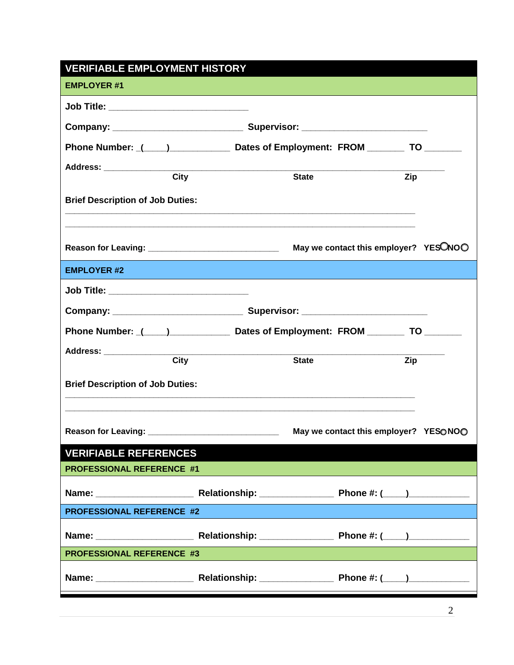| <b>VERIFIABLE EMPLOYMENT HISTORY</b>                                                                                                                      |             |                                       |     |  |  |  |  |
|-----------------------------------------------------------------------------------------------------------------------------------------------------------|-------------|---------------------------------------|-----|--|--|--|--|
| <b>EMPLOYER #1</b>                                                                                                                                        |             |                                       |     |  |  |  |  |
| Job Title: _____________________________                                                                                                                  |             |                                       |     |  |  |  |  |
|                                                                                                                                                           |             |                                       |     |  |  |  |  |
| Phone Number: (1, 2002) Dates of Employment: FROM _______________________________                                                                         |             |                                       |     |  |  |  |  |
| Address: ____________________                                                                                                                             | <b>City</b> |                                       |     |  |  |  |  |
|                                                                                                                                                           |             | <b>State</b>                          | Zip |  |  |  |  |
| <b>Brief Description of Job Duties:</b>                                                                                                                   |             |                                       |     |  |  |  |  |
|                                                                                                                                                           |             |                                       |     |  |  |  |  |
|                                                                                                                                                           |             |                                       |     |  |  |  |  |
| <b>EMPLOYER #2</b>                                                                                                                                        |             |                                       |     |  |  |  |  |
| Job Title: ____________________________                                                                                                                   |             |                                       |     |  |  |  |  |
|                                                                                                                                                           |             |                                       |     |  |  |  |  |
| Phone Number: (1, 2002) Dates of Employment: FROM The To To                                                                                               |             |                                       |     |  |  |  |  |
| Address: City                                                                                                                                             |             |                                       |     |  |  |  |  |
|                                                                                                                                                           |             | <b>State</b>                          | Zip |  |  |  |  |
| <b>Brief Description of Job Duties:</b>                                                                                                                   |             |                                       |     |  |  |  |  |
|                                                                                                                                                           |             |                                       |     |  |  |  |  |
|                                                                                                                                                           |             | May we contact this employer? YESONOO |     |  |  |  |  |
| <b>VERIFIABLE REFERENCES</b>                                                                                                                              |             |                                       |     |  |  |  |  |
| <b>PROFESSIONAL REFERENCE #1</b>                                                                                                                          |             |                                       |     |  |  |  |  |
|                                                                                                                                                           |             |                                       |     |  |  |  |  |
| <b>PROFESSIONAL REFERENCE #2</b>                                                                                                                          |             |                                       |     |  |  |  |  |
|                                                                                                                                                           |             |                                       |     |  |  |  |  |
| <b>PROFESSIONAL REFERENCE #3</b><br><u> 1989 - Andrea Santa Galile, ann an t-Ann an t-Ann an t-Ann an t-Ann an t-Ann an t-Ann an t-Ann an t-Ann an t-</u> |             |                                       |     |  |  |  |  |
|                                                                                                                                                           |             |                                       |     |  |  |  |  |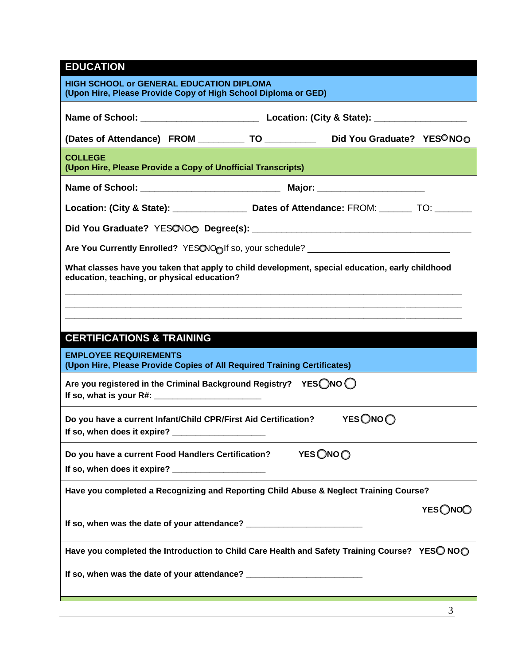#### **EDUCATION**

| <b>HIGH SCHOOL or GENERAL EDUCATION DIPLOMA</b><br>(Upon Hire, Please Provide Copy of High School Diploma or GED)                              |  |  |  |  |  |  |  |
|------------------------------------------------------------------------------------------------------------------------------------------------|--|--|--|--|--|--|--|
|                                                                                                                                                |  |  |  |  |  |  |  |
| (Dates of Attendance) FROM _____________ TO _______________ Did You Graduate? YESONOO                                                          |  |  |  |  |  |  |  |
| <b>COLLEGE</b><br>(Upon Hire, Please Provide a Copy of Unofficial Transcripts)                                                                 |  |  |  |  |  |  |  |
|                                                                                                                                                |  |  |  |  |  |  |  |
|                                                                                                                                                |  |  |  |  |  |  |  |
|                                                                                                                                                |  |  |  |  |  |  |  |
| Are You Currently Enrolled? YESONOolf so, your schedule? _______________________                                                               |  |  |  |  |  |  |  |
| What classes have you taken that apply to child development, special education, early childhood<br>education, teaching, or physical education? |  |  |  |  |  |  |  |
|                                                                                                                                                |  |  |  |  |  |  |  |
|                                                                                                                                                |  |  |  |  |  |  |  |
| <b>CERTIFICATIONS &amp; TRAINING</b>                                                                                                           |  |  |  |  |  |  |  |
| <b>EMPLOYEE REQUIREMENTS</b><br>(Upon Hire, Please Provide Copies of All Required Training Certificates)                                       |  |  |  |  |  |  |  |
| Are you registered in the Criminal Background Registry? YESONO O<br>If so, what is your R#: $\frac{1}{2}$ Manuson 2014.                        |  |  |  |  |  |  |  |
| <b>YES</b> ○NO ○<br>Do you have a current Infant/Child CPR/First Aid Certification?<br>If so, when does it expire? _______________________     |  |  |  |  |  |  |  |
| <b>YES</b> ○NO ○<br>Do you have a current Food Handlers Certification?                                                                         |  |  |  |  |  |  |  |
| If so, when does it expire?                                                                                                                    |  |  |  |  |  |  |  |
| Have you completed a Recognizing and Reporting Child Abuse & Neglect Training Course?                                                          |  |  |  |  |  |  |  |
| YES ONOO                                                                                                                                       |  |  |  |  |  |  |  |
| If so, when was the date of your attendance? ___________________________________                                                               |  |  |  |  |  |  |  |
| Have you completed the Introduction to Child Care Health and Safety Training Course? YESO NOO                                                  |  |  |  |  |  |  |  |
| If so, when was the date of your attendance? ___________________________________                                                               |  |  |  |  |  |  |  |
|                                                                                                                                                |  |  |  |  |  |  |  |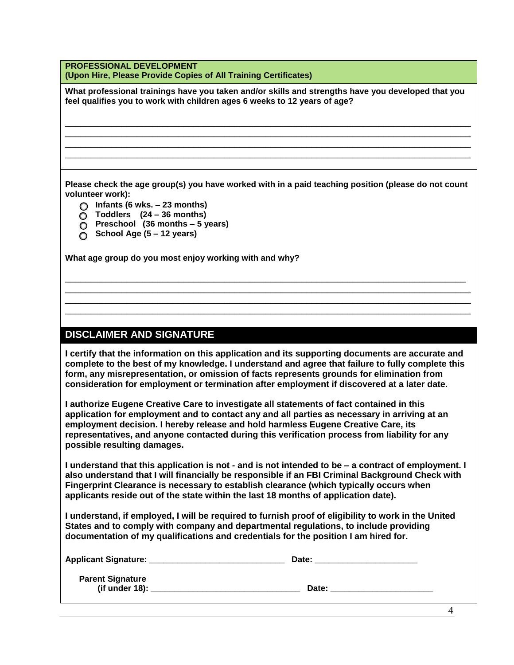**PROFESSIONAL DEVELOPMENT (Upon Hire, Please Provide Copies of All Training Certificates)**

**What professional trainings have you taken and/or skills and strengths have you developed that you feel qualifies you to work with children ages 6 weeks to 12 years of age?**

\_\_\_\_\_\_\_\_\_\_\_\_\_\_\_\_\_\_\_\_\_\_\_\_\_\_\_\_\_\_\_\_\_\_\_\_\_\_\_\_\_\_\_\_\_\_\_\_\_\_\_\_\_\_\_\_\_\_\_\_\_\_\_\_\_\_\_\_\_\_\_\_\_\_\_\_\_\_\_ \_\_\_\_\_\_\_\_\_\_\_\_\_\_\_\_\_\_\_\_\_\_\_\_\_\_\_\_\_\_\_\_\_\_\_\_\_\_\_\_\_\_\_\_\_\_\_\_\_\_\_\_\_\_\_\_\_\_\_\_\_\_\_\_\_\_\_\_\_\_\_\_\_\_\_\_\_\_\_ \_\_\_\_\_\_\_\_\_\_\_\_\_\_\_\_\_\_\_\_\_\_\_\_\_\_\_\_\_\_\_\_\_\_\_\_\_\_\_\_\_\_\_\_\_\_\_\_\_\_\_\_\_\_\_\_\_\_\_\_\_\_\_\_\_\_\_\_\_\_\_\_\_\_\_\_\_\_\_ \_\_\_\_\_\_\_\_\_\_\_\_\_\_\_\_\_\_\_\_\_\_\_\_\_\_\_\_\_\_\_\_\_\_\_\_\_\_\_\_\_\_\_\_\_\_\_\_\_\_\_\_\_\_\_\_\_\_\_\_\_\_\_\_\_\_\_\_\_\_\_\_\_\_\_\_\_\_\_

**Please check the age group(s) you have worked with in a paid teaching position (please do not count volunteer work):**

- o **Infants (6 wks. – 23 months)**
- o **Toddlers (24 – 36 months)**
- o **Preschool (36 months – 5 years)**
- o **School Age (5 – 12 years)**

**What age group do you most enjoy working with and why?** 

#### **DISCLAIMER AND SIGNATURE**

**I certify that the information on this application and its supporting documents are accurate and complete to the best of my knowledge. I understand and agree that failure to fully complete this form, any misrepresentation, or omission of facts represents grounds for elimination from consideration for employment or termination after employment if discovered at a later date.** 

\_\_\_\_\_\_\_\_\_\_\_\_\_\_\_\_\_\_\_\_\_\_\_\_\_\_\_\_\_\_\_\_\_\_\_\_\_\_\_\_\_\_\_\_\_\_\_\_\_\_\_\_\_\_\_\_\_\_\_\_\_\_\_\_\_\_\_\_\_\_\_\_\_\_\_\_\_\_ \_\_\_\_\_\_\_\_\_\_\_\_\_\_\_\_\_\_\_\_\_\_\_\_\_\_\_\_\_\_\_\_\_\_\_\_\_\_\_\_\_\_\_\_\_\_\_\_\_\_\_\_\_\_\_\_\_\_\_\_\_\_\_\_\_\_\_\_\_\_\_\_\_\_\_\_\_\_\_ \_\_\_\_\_\_\_\_\_\_\_\_\_\_\_\_\_\_\_\_\_\_\_\_\_\_\_\_\_\_\_\_\_\_\_\_\_\_\_\_\_\_\_\_\_\_\_\_\_\_\_\_\_\_\_\_\_\_\_\_\_\_\_\_\_\_\_\_\_\_\_\_\_\_\_\_\_\_\_ \_\_\_\_\_\_\_\_\_\_\_\_\_\_\_\_\_\_\_\_\_\_\_\_\_\_\_\_\_\_\_\_\_\_\_\_\_\_\_\_\_\_\_\_\_\_\_\_\_\_\_\_\_\_\_\_\_\_\_\_\_\_\_\_\_\_\_\_\_\_\_\_\_\_\_\_\_\_\_

**I authorize Eugene Creative Care to investigate all statements of fact contained in this application for employment and to contact any and all parties as necessary in arriving at an employment decision. I hereby release and hold harmless Eugene Creative Care, its representatives, and anyone contacted during this verification process from liability for any possible resulting damages.** 

**I understand that this application is not - and is not intended to be – a contract of employment. I also understand that I will financially be responsible if an FBI Criminal Background Check with Fingerprint Clearance is necessary to establish clearance (which typically occurs when applicants reside out of the state within the last 18 months of application date).** 

**I understand, if employed, I will be required to furnish proof of eligibility to work in the United States and to comply with company and departmental regulations, to include providing documentation of my qualifications and credentials for the position I am hired for.** 

| <b>Applicant Signature:</b>                  | Date: |  |
|----------------------------------------------|-------|--|
| <b>Parent Signature</b><br>(if under $18$ ): | Date: |  |